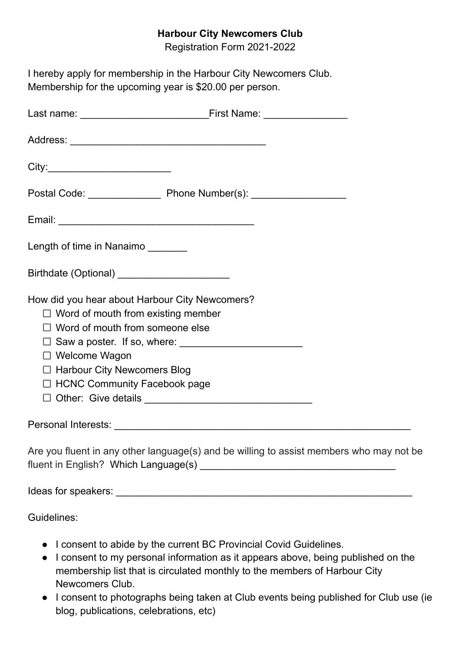## **Harbour City Newcomers Club**

Registration Form 2021-2022

| I hereby apply for membership in the Harbour City Newcomers Club.<br>Membership for the upcoming year is \$20.00 per person.                                                                                                               |
|--------------------------------------------------------------------------------------------------------------------------------------------------------------------------------------------------------------------------------------------|
|                                                                                                                                                                                                                                            |
|                                                                                                                                                                                                                                            |
|                                                                                                                                                                                                                                            |
|                                                                                                                                                                                                                                            |
|                                                                                                                                                                                                                                            |
| Length of time in Nanaimo _______                                                                                                                                                                                                          |
|                                                                                                                                                                                                                                            |
| How did you hear about Harbour City Newcomers?<br>$\Box$ Word of mouth from existing member<br>$\Box$ Word of mouth from someone else<br>$\Box$ Welcome Wagon<br>$\Box$ Harbour City Newcomers Blog<br>$\Box$ HCNC Community Facebook page |
|                                                                                                                                                                                                                                            |
| Are you fluent in any other language(s) and be willing to assist members who may not be                                                                                                                                                    |
|                                                                                                                                                                                                                                            |

Guidelines:

- I consent to abide by the current BC Provincial Covid Guidelines.
- I consent to my personal information as it appears above, being published on the membership list that is circulated monthly to the members of Harbour City Newcomers Club.
- I consent to photographs being taken at Club events being published for Club use (ie blog, publications, celebrations, etc)